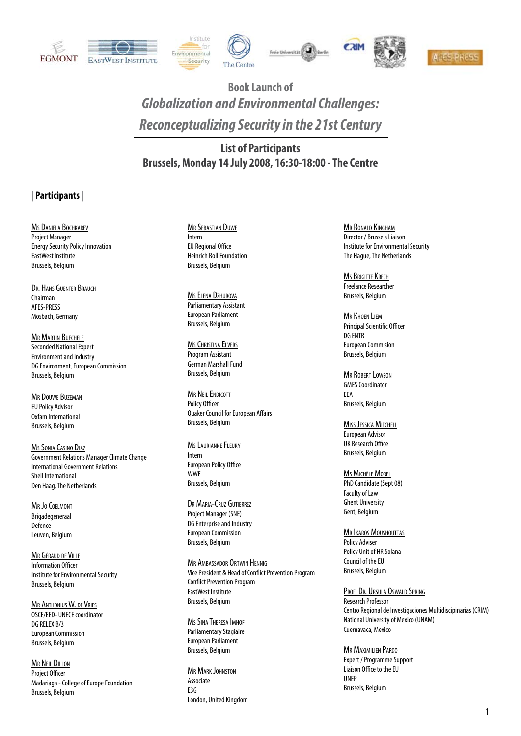









# **Book Launch of**  *Globalization and Environmental Challenges: Reconceptualizing Security in the 21st Century*

## **List of Participants Brussels, Monday 14 July 2008, 16:30-18:00 - The Centre**

### **| Participants |**

Ms Daniela Bochkarev Project Manager Energy Security Policy Innovation EastWest Institute Brussels, Belgium

Dr. Hans Guenter Brauch Chairman AFES-PRESS Mosbach, Germany

**MR MARTIN BUECHELE** Seconded Nati**o**nal Expert Environment and Industry DG Environment, European Commission Brussels, Belgium

Mr Douwe Buzeman EU Policy Advisor Oxfam International Brussels, Belgium

Ms Sonia Casino Diaz Government Relations Manager Climate Change International Government Relations Shell International Den Haag, The Netherlands

Mr Jo Coelmont Brigadegeneraal Defence Leuven, Belgium

Mr Géraud de Ville Information Officer Institute for Environmental Security Brussels, Belgium

**MR ANTHONIUS W. DE VRIES** OSCE/EED- UNECE coordinator DG RELEX B/3 European Commission Brussels, Belgium

**MR NEIL DILLON** Project Officer Madariaga - College of Europe Foundation Brussels, Belgium

**MR SEBASTIAN DUWE** Intern EU Regional Office Heinrich Boll Foundation Brussels, Belgium

Ms Elena Dzhurova Parliamentary Assistant European Parliament Brussels, Belgium

**Ms CHRISTINA ELVERS** Program Assistant German Marshall Fund Brussels, Belgium

**MR NEIL ENDICOTT** Policy Officer Quaker Council for European Affairs Brussels, Belgium

**Ms LAURIANNE FLEURY** Intern European Policy Office **WWF** Brussels, Belgium

Dr Maria-Cruz Gutierrez Project Manager (SNE) DG Enterprise and Industry European Commission Brussels, Belgium

**MR AMBASSADOR ORTWIN HENNIG** Vice President & Head of Conflict Prevention Program Conflict Prevention Program EastWest Institute Brussels, Belgium

Ms Sina Theresa Imhof Parliamentary Stagiaire European Parliament Brussels, Belgium

**MR MARK JOHNSTON** Associate E3G London, United Kingdom Mr Ronald Kingham Director / Brussels Liaison Institute for Environmental Security The Hague, The Netherlands

**Ms BRIGITTE KRECH** Freelance Researcher Brussels, Belgium

Mr Khoen Liem Principal Scientific Officer DG ENTR European Commision Brussels, Belgium

**MR ROBERT LOWSON** GMES Coordinator EEA Brussels, Belgium

**MISS JESSICA MITCHELL** European Advisor UK Research Office Brussels, Belgium

Ms Michèle Morel PhD Candidate (Sept 08) Faculty of Law Ghent University Gent, Belgium

**MR IKAROS MOUSHOUTTAS** Policy Adviser Policy Unit of HR Solana Council of the EU Brussels, Belgium

Prof. Dr. Ursula Oswald Spring Research Professor Centro Regional de Investigaciones Multidiscipinarias (CRIM) National University of Mexico (UNAM) Cuernavaca, Mexico

Mr Maximilien Pardo Expert / Programme Support Liaison Office to the EU UNEP Brussels, Belgium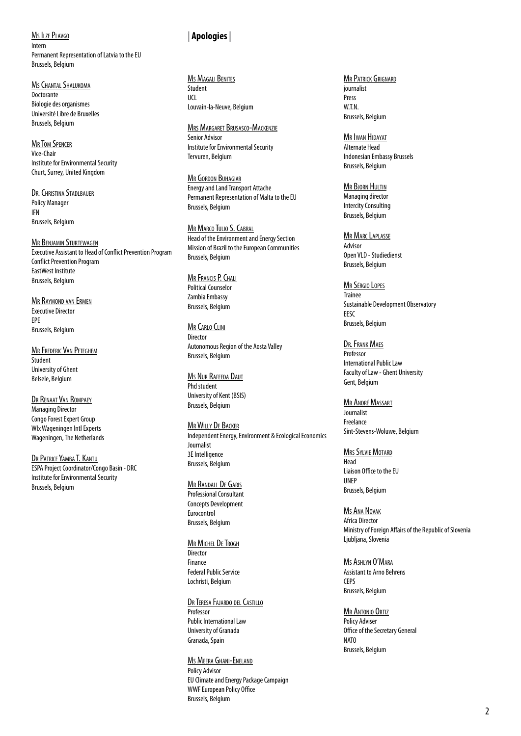Ms Ilze Plavgo Intern Permanent Representation of Latvia to the EU Brussels, Belgium

**Ms CHANTAL SHALUKOMA** Doctorante Biologie des organismes Université Libre de Bruxelles Brussels, Belgium

**MR TOM SPENCER** Vice-Chair Institute for Environmental Security Churt, Surrey, United Kingdom

DR. CHRISTINA STADLBAUER Policy Manager IFN Brussels, Belgium

Mr Benjamin Sturtewagen Executive Assistant to Head of Conflict Prevention Program Conflict Prevention Program EastWest Institute Brussels, Belgium

Mr Raymond van Ermen Executive Director EPE Brussels, Belgium

**MR FREDERIC VAN PETEGHEM** Student University of Ghent Belsele, Belgium

Dr Renaat Van Rompaey Managing Director Congo Forest Expert Group WIx Wageningen Intl Experts Wageningen, The Netherlands

DR PATRICE YAMBA T. KANTU ESPA Project Coordinator/Congo Basin - DRC Institute for Environmental Security Brussels, Belgium

#### **| Apologies |**

**Ms Magali Benites** Student UCL Louvain-la-Neuve, Belgium

Mrs Margaret Brusasco-Mackenzie Senior Advisor Institute for Environmental Security Tervuren, Belgium

Mr Gordon Buhagiar Energy and Land Transport Attache Permanent Representation of Malta to the EU Brussels, Belgium

**MR MARCO TULIO S. CABRAL** Head of the Environment and Energy Section Mission of Brazil to the European Communities Brussels, Belgium

**MR FRANCIS P. CHALI** Political Counselor Zambia Embassy Brussels, Belgium

**MR CARLO CLINI** Director Autonomous Region of the Aosta Valley Brussels, Belgium

Ms Nur Rafeeda Daut Phd student University of Kent (BSIS) Brussels, Belgium

**MR WILLY DE BACKER** Independent Energy, Environment & Ecological Economics Journalist 3E Intelligence Brussels, Belgium

Mr Randall De Garis Professional Consultant Concepts Development Eurocontrol Brussels, Belgium

**MR MICHEL DE TROGH Director** Finance Federal Public Service Lochristi, Belgium

DR TERESA FAJARDO DEL CASTILLO Professor Public International Law University of Granada Granada, Spain

**Ms MEERA GHANI-ENELAND** Policy Advisor EU Climate and Energy Package Campaign WWF European Policy Office Brussels, Belgium

**MR PATRICK GRIGNARD** journalist Press W.T.N. Brussels, Belgium

**MR IWAN HIDAYAT** Alternate Head Indonesian Embassy Brussels Brussels, Belgium

**MR BJORN HULTIN** Managing director Intercity Consulting Brussels, Belgium

**MR MARC LAPLASSE** Advisor Open VLD - Studiedienst Brussels, Belgium

Mr Sérgio Lopes Trainee Sustainable Development Observatory **EESC** Brussels, Belgium

Dr. Frank Maes Professor International Public Law Faculty of Law - Ghent University Gent, Belgium

Mr André Massart Journalist Freelance Sint-Stevens-Woluwe, Belgium

**MRS SYLVIE MOTARD** Head Liaison Office to the EU UNEP Brussels, Belgium

Ms Ana Novak Africa Director Ministry of Foreign Affairs of the Republic of Slovenia Ljubljana, Slovenia

Ms Ashlyn O'Mara Assistant to Arno Behrens **CEPS** Brussels, Belgium

**MR ANTONIO ORTIZ** Policy Adviser Office of the Secretary General NATO Brussels, Belgium